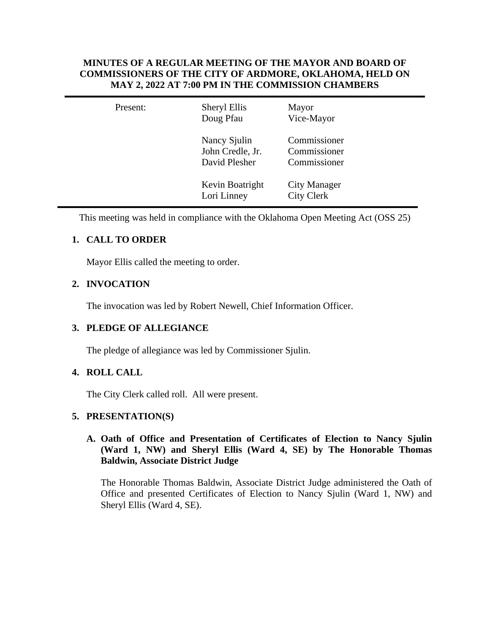## **MINUTES OF A REGULAR MEETING OF THE MAYOR AND BOARD OF COMMISSIONERS OF THE CITY OF ARDMORE, OKLAHOMA, HELD ON MAY 2, 2022 AT 7:00 PM IN THE COMMISSION CHAMBERS**

| Present: | Sheryl Ellis<br>Doug Pfau                         | Mayor<br>Vice-Mayor                          |  |
|----------|---------------------------------------------------|----------------------------------------------|--|
|          | Nancy Sjulin<br>John Credle, Jr.<br>David Plesher | Commissioner<br>Commissioner<br>Commissioner |  |
|          | Kevin Boatright<br>Lori Linney                    | <b>City Manager</b><br><b>City Clerk</b>     |  |

This meeting was held in compliance with the Oklahoma Open Meeting Act (OSS 25)

# **1. CALL TO ORDER**

Mayor Ellis called the meeting to order.

# **2. INVOCATION**

The invocation was led by Robert Newell, Chief Information Officer.

## **3. PLEDGE OF ALLEGIANCE**

The pledge of allegiance was led by Commissioner Sjulin.

## **4. ROLL CALL**

The City Clerk called roll. All were present.

## **5. PRESENTATION(S)**

## **A. Oath of Office and Presentation of Certificates of Election to Nancy Sjulin (Ward 1, NW) and Sheryl Ellis (Ward 4, SE) by The Honorable Thomas Baldwin, Associate District Judge**

The Honorable Thomas Baldwin, Associate District Judge administered the Oath of Office and presented Certificates of Election to Nancy Sjulin (Ward 1, NW) and Sheryl Ellis (Ward 4, SE).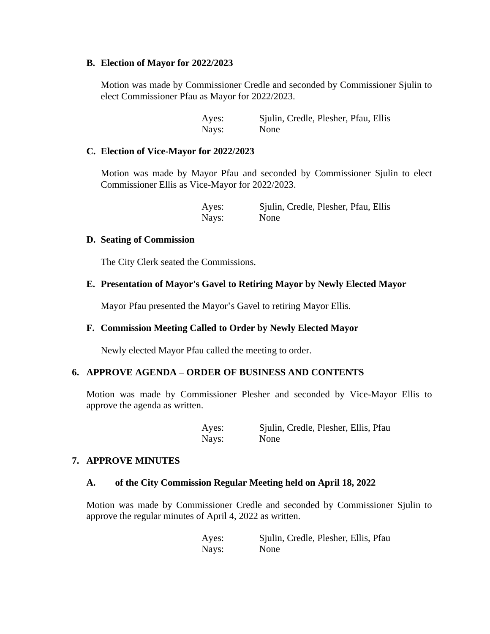#### **B. Election of Mayor for 2022/2023**

Motion was made by Commissioner Credle and seconded by Commissioner Sjulin to elect Commissioner Pfau as Mayor for 2022/2023.

> Ayes: Sjulin, Credle, Plesher, Pfau, Ellis Nays: None

## **C. Election of Vice-Mayor for 2022/2023**

Motion was made by Mayor Pfau and seconded by Commissioner Sjulin to elect Commissioner Ellis as Vice-Mayor for 2022/2023.

> Ayes: Sjulin, Credle, Plesher, Pfau, Ellis Nays: None

#### **D. Seating of Commission**

The City Clerk seated the Commissions.

## **E. Presentation of Mayor's Gavel to Retiring Mayor by Newly Elected Mayor**

Mayor Pfau presented the Mayor's Gavel to retiring Mayor Ellis.

## **F. Commission Meeting Called to Order by Newly Elected Mayor**

Newly elected Mayor Pfau called the meeting to order.

## **6. APPROVE AGENDA – ORDER OF BUSINESS AND CONTENTS**

Motion was made by Commissioner Plesher and seconded by Vice-Mayor Ellis to approve the agenda as written.

> Ayes: Sjulin, Credle, Plesher, Ellis, Pfau Nays: None

## **7. APPROVE MINUTES**

#### **A. of the City Commission Regular Meeting held on April 18, 2022**

Motion was made by Commissioner Credle and seconded by Commissioner Sjulin to approve the regular minutes of April 4, 2022 as written.

| Ayes: | Sjulin, Credle, Plesher, Ellis, Pfau |
|-------|--------------------------------------|
| Nays: | None                                 |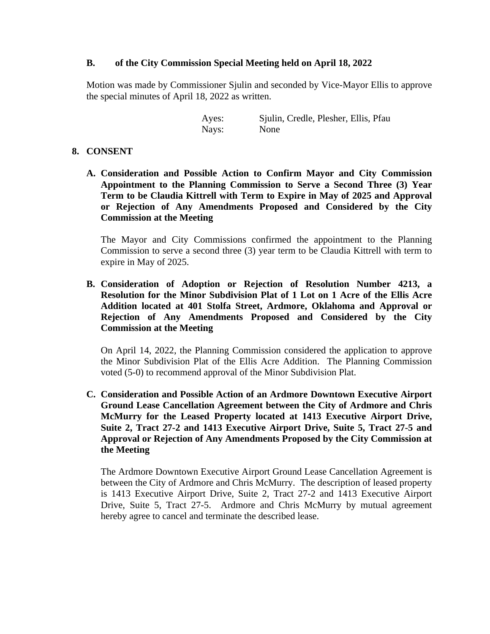## **B. of the City Commission Special Meeting held on April 18, 2022**

Motion was made by Commissioner Sjulin and seconded by Vice-Mayor Ellis to approve the special minutes of April 18, 2022 as written.

> Ayes: Sjulin, Credle, Plesher, Ellis, Pfau Nays: None

### **8. CONSENT**

**A. Consideration and Possible Action to Confirm Mayor and City Commission Appointment to the Planning Commission to Serve a Second Three (3) Year Term to be Claudia Kittrell with Term to Expire in May of 2025 and Approval or Rejection of Any Amendments Proposed and Considered by the City Commission at the Meeting**

The Mayor and City Commissions confirmed the appointment to the Planning Commission to serve a second three (3) year term to be Claudia Kittrell with term to expire in May of 2025.

**B. Consideration of Adoption or Rejection of Resolution Number 4213, a Resolution for the Minor Subdivision Plat of 1 Lot on 1 Acre of the Ellis Acre Addition located at 401 Stolfa Street, Ardmore, Oklahoma and Approval or Rejection of Any Amendments Proposed and Considered by the City Commission at the Meeting**

On April 14, 2022, the Planning Commission considered the application to approve the Minor Subdivision Plat of the Ellis Acre Addition. The Planning Commission voted (5-0) to recommend approval of the Minor Subdivision Plat.

**C. Consideration and Possible Action of an Ardmore Downtown Executive Airport Ground Lease Cancellation Agreement between the City of Ardmore and Chris McMurry for the Leased Property located at 1413 Executive Airport Drive, Suite 2, Tract 27-2 and 1413 Executive Airport Drive, Suite 5, Tract 27-5 and Approval or Rejection of Any Amendments Proposed by the City Commission at the Meeting**

The Ardmore Downtown Executive Airport Ground Lease Cancellation Agreement is between the City of Ardmore and Chris McMurry. The description of leased property is 1413 Executive Airport Drive, Suite 2, Tract 27-2 and 1413 Executive Airport Drive, Suite 5, Tract 27-5. Ardmore and Chris McMurry by mutual agreement hereby agree to cancel and terminate the described lease.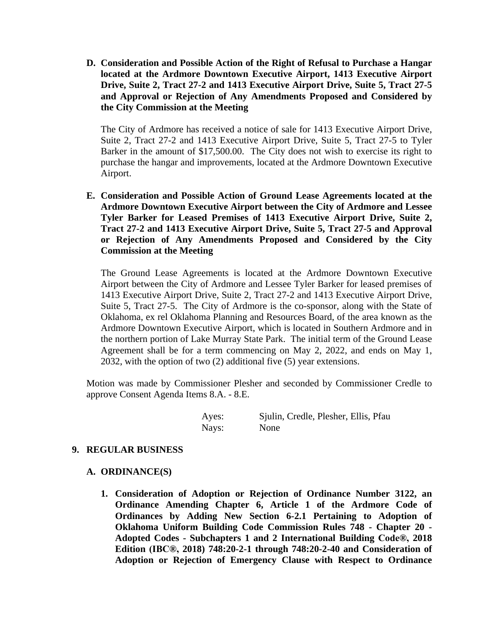**D. Consideration and Possible Action of the Right of Refusal to Purchase a Hangar located at the Ardmore Downtown Executive Airport, 1413 Executive Airport Drive, Suite 2, Tract 27-2 and 1413 Executive Airport Drive, Suite 5, Tract 27-5 and Approval or Rejection of Any Amendments Proposed and Considered by the City Commission at the Meeting**

The City of Ardmore has received a notice of sale for 1413 Executive Airport Drive, Suite 2, Tract 27-2 and 1413 Executive Airport Drive, Suite 5, Tract 27-5 to Tyler Barker in the amount of \$17,500.00. The City does not wish to exercise its right to purchase the hangar and improvements, located at the Ardmore Downtown Executive Airport.

**E. Consideration and Possible Action of Ground Lease Agreements located at the Ardmore Downtown Executive Airport between the City of Ardmore and Lessee Tyler Barker for Leased Premises of 1413 Executive Airport Drive, Suite 2, Tract 27-2 and 1413 Executive Airport Drive, Suite 5, Tract 27-5 and Approval or Rejection of Any Amendments Proposed and Considered by the City Commission at the Meeting**

The Ground Lease Agreements is located at the Ardmore Downtown Executive Airport between the City of Ardmore and Lessee Tyler Barker for leased premises of 1413 Executive Airport Drive, Suite 2, Tract 27-2 and 1413 Executive Airport Drive, Suite 5, Tract 27-5. The City of Ardmore is the co-sponsor, along with the State of Oklahoma, ex rel Oklahoma Planning and Resources Board, of the area known as the Ardmore Downtown Executive Airport, which is located in Southern Ardmore and in the northern portion of Lake Murray State Park. The initial term of the Ground Lease Agreement shall be for a term commencing on May 2, 2022, and ends on May 1, 2032, with the option of two (2) additional five (5) year extensions.

Motion was made by Commissioner Plesher and seconded by Commissioner Credle to approve Consent Agenda Items 8.A. - 8.E.

| Ayes: | Sjulin, Credle, Plesher, Ellis, Pfau |
|-------|--------------------------------------|
| Nays: | None                                 |

## **9. REGULAR BUSINESS**

## **A. ORDINANCE(S)**

**1. Consideration of Adoption or Rejection of Ordinance Number 3122, an Ordinance Amending Chapter 6, Article 1 of the Ardmore Code of Ordinances by Adding New Section 6-2.1 Pertaining to Adoption of Oklahoma Uniform Building Code Commission Rules 748 - Chapter 20 - Adopted Codes - Subchapters 1 and 2 International Building Code®, 2018 Edition (IBC®, 2018) 748:20-2-1 through 748:20-2-40 and Consideration of Adoption or Rejection of Emergency Clause with Respect to Ordinance**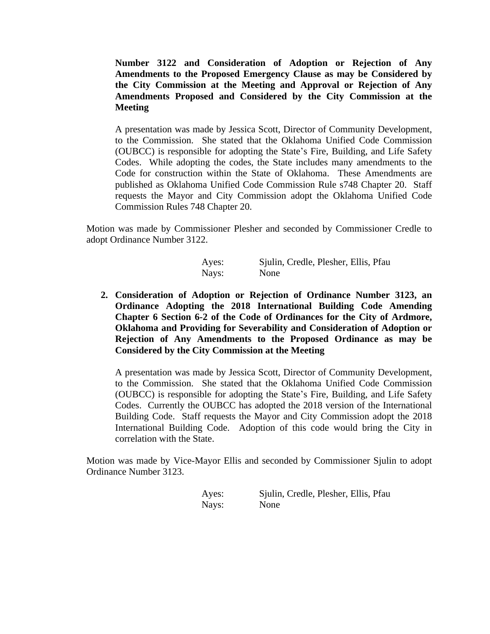**Number 3122 and Consideration of Adoption or Rejection of Any Amendments to the Proposed Emergency Clause as may be Considered by the City Commission at the Meeting and Approval or Rejection of Any Amendments Proposed and Considered by the City Commission at the Meeting**

A presentation was made by Jessica Scott, Director of Community Development, to the Commission. She stated that the Oklahoma Unified Code Commission (OUBCC) is responsible for adopting the State's Fire, Building, and Life Safety Codes. While adopting the codes, the State includes many amendments to the Code for construction within the State of Oklahoma. These Amendments are published as Oklahoma Unified Code Commission Rule s748 Chapter 20. Staff requests the Mayor and City Commission adopt the Oklahoma Unified Code Commission Rules 748 Chapter 20.

Motion was made by Commissioner Plesher and seconded by Commissioner Credle to adopt Ordinance Number 3122.

| Ayes: | Sjulin, Credle, Plesher, Ellis, Pfau |
|-------|--------------------------------------|
| Nays: | None                                 |

**2. Consideration of Adoption or Rejection of Ordinance Number 3123, an Ordinance Adopting the 2018 International Building Code Amending Chapter 6 Section 6-2 of the Code of Ordinances for the City of Ardmore, Oklahoma and Providing for Severability and Consideration of Adoption or Rejection of Any Amendments to the Proposed Ordinance as may be Considered by the City Commission at the Meeting**

A presentation was made by Jessica Scott, Director of Community Development, to the Commission. She stated that the Oklahoma Unified Code Commission (OUBCC) is responsible for adopting the State's Fire, Building, and Life Safety Codes. Currently the OUBCC has adopted the 2018 version of the International Building Code. Staff requests the Mayor and City Commission adopt the 2018 International Building Code. Adoption of this code would bring the City in correlation with the State.

Motion was made by Vice-Mayor Ellis and seconded by Commissioner Sjulin to adopt Ordinance Number 3123.

| Ayes: | Sjulin, Credle, Plesher, Ellis, Pfau |
|-------|--------------------------------------|
| Nays: | None                                 |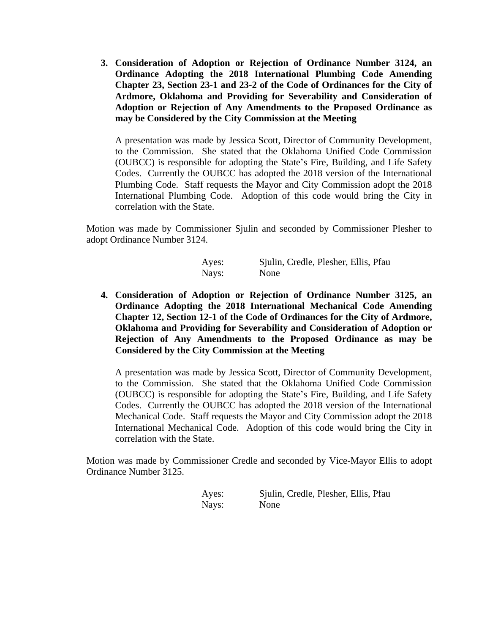**3. Consideration of Adoption or Rejection of Ordinance Number 3124, an Ordinance Adopting the 2018 International Plumbing Code Amending Chapter 23, Section 23-1 and 23-2 of the Code of Ordinances for the City of Ardmore, Oklahoma and Providing for Severability and Consideration of Adoption or Rejection of Any Amendments to the Proposed Ordinance as may be Considered by the City Commission at the Meeting**

A presentation was made by Jessica Scott, Director of Community Development, to the Commission. She stated that the Oklahoma Unified Code Commission (OUBCC) is responsible for adopting the State's Fire, Building, and Life Safety Codes. Currently the OUBCC has adopted the 2018 version of the International Plumbing Code. Staff requests the Mayor and City Commission adopt the 2018 International Plumbing Code. Adoption of this code would bring the City in correlation with the State.

Motion was made by Commissioner Sjulin and seconded by Commissioner Plesher to adopt Ordinance Number 3124.

| Ayes: | Sjulin, Credle, Plesher, Ellis, Pfau |
|-------|--------------------------------------|
| Nays: | None                                 |

**4. Consideration of Adoption or Rejection of Ordinance Number 3125, an Ordinance Adopting the 2018 International Mechanical Code Amending Chapter 12, Section 12-1 of the Code of Ordinances for the City of Ardmore, Oklahoma and Providing for Severability and Consideration of Adoption or Rejection of Any Amendments to the Proposed Ordinance as may be Considered by the City Commission at the Meeting**

A presentation was made by Jessica Scott, Director of Community Development, to the Commission. She stated that the Oklahoma Unified Code Commission (OUBCC) is responsible for adopting the State's Fire, Building, and Life Safety Codes. Currently the OUBCC has adopted the 2018 version of the International Mechanical Code. Staff requests the Mayor and City Commission adopt the 2018 International Mechanical Code. Adoption of this code would bring the City in correlation with the State.

Motion was made by Commissioner Credle and seconded by Vice-Mayor Ellis to adopt Ordinance Number 3125.

| Ayes: | Sjulin, Credle, Plesher, Ellis, Pfau |
|-------|--------------------------------------|
| Nays: | None                                 |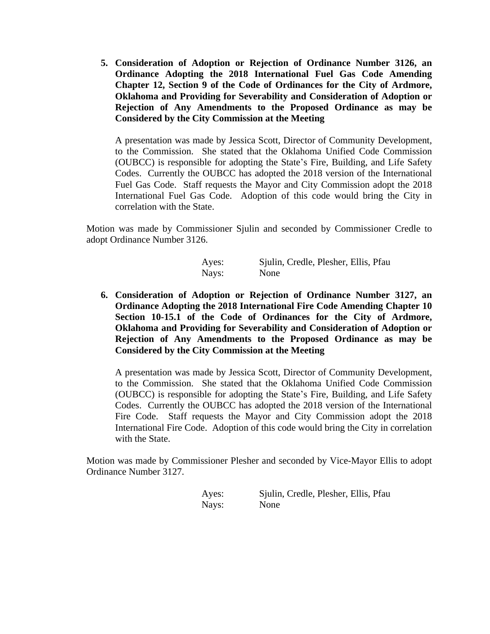**5. Consideration of Adoption or Rejection of Ordinance Number 3126, an Ordinance Adopting the 2018 International Fuel Gas Code Amending Chapter 12, Section 9 of the Code of Ordinances for the City of Ardmore, Oklahoma and Providing for Severability and Consideration of Adoption or Rejection of Any Amendments to the Proposed Ordinance as may be Considered by the City Commission at the Meeting**

A presentation was made by Jessica Scott, Director of Community Development, to the Commission. She stated that the Oklahoma Unified Code Commission (OUBCC) is responsible for adopting the State's Fire, Building, and Life Safety Codes. Currently the OUBCC has adopted the 2018 version of the International Fuel Gas Code. Staff requests the Mayor and City Commission adopt the 2018 International Fuel Gas Code. Adoption of this code would bring the City in correlation with the State.

Motion was made by Commissioner Sjulin and seconded by Commissioner Credle to adopt Ordinance Number 3126.

| Ayes: | Sjulin, Credle, Plesher, Ellis, Pfau |
|-------|--------------------------------------|
| Nays: | None                                 |

**6. Consideration of Adoption or Rejection of Ordinance Number 3127, an Ordinance Adopting the 2018 International Fire Code Amending Chapter 10 Section 10-15.1 of the Code of Ordinances for the City of Ardmore, Oklahoma and Providing for Severability and Consideration of Adoption or Rejection of Any Amendments to the Proposed Ordinance as may be Considered by the City Commission at the Meeting**

A presentation was made by Jessica Scott, Director of Community Development, to the Commission. She stated that the Oklahoma Unified Code Commission (OUBCC) is responsible for adopting the State's Fire, Building, and Life Safety Codes. Currently the OUBCC has adopted the 2018 version of the International Fire Code. Staff requests the Mayor and City Commission adopt the 2018 International Fire Code. Adoption of this code would bring the City in correlation with the State.

Motion was made by Commissioner Plesher and seconded by Vice-Mayor Ellis to adopt Ordinance Number 3127.

| Ayes: | Sjulin, Credle, Plesher, Ellis, Pfau |
|-------|--------------------------------------|
| Nays: | None                                 |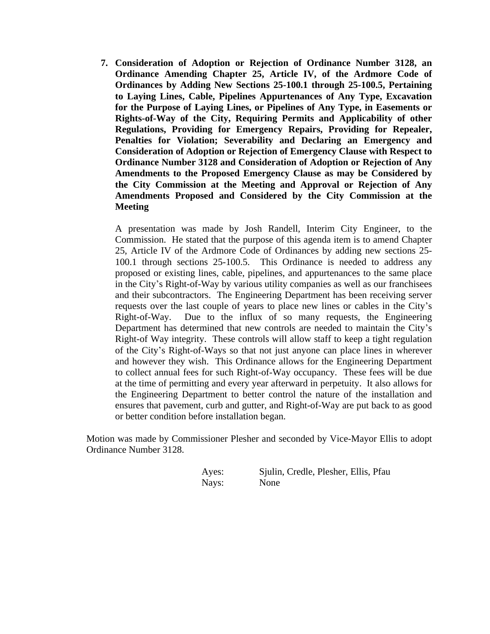**7. Consideration of Adoption or Rejection of Ordinance Number 3128, an Ordinance Amending Chapter 25, Article IV, of the Ardmore Code of Ordinances by Adding New Sections 25-100.1 through 25-100.5, Pertaining to Laying Lines, Cable, Pipelines Appurtenances of Any Type, Excavation for the Purpose of Laying Lines, or Pipelines of Any Type, in Easements or Rights-of-Way of the City, Requiring Permits and Applicability of other Regulations, Providing for Emergency Repairs, Providing for Repealer, Penalties for Violation; Severability and Declaring an Emergency and Consideration of Adoption or Rejection of Emergency Clause with Respect to Ordinance Number 3128 and Consideration of Adoption or Rejection of Any Amendments to the Proposed Emergency Clause as may be Considered by the City Commission at the Meeting and Approval or Rejection of Any Amendments Proposed and Considered by the City Commission at the Meeting**

A presentation was made by Josh Randell, Interim City Engineer, to the Commission. He stated that the purpose of this agenda item is to amend Chapter 25, Article IV of the Ardmore Code of Ordinances by adding new sections 25- 100.1 through sections 25-100.5. This Ordinance is needed to address any proposed or existing lines, cable, pipelines, and appurtenances to the same place in the City's Right-of-Way by various utility companies as well as our franchisees and their subcontractors. The Engineering Department has been receiving server requests over the last couple of years to place new lines or cables in the City's Right-of-Way. Due to the influx of so many requests, the Engineering Department has determined that new controls are needed to maintain the City's Right-of Way integrity. These controls will allow staff to keep a tight regulation of the City's Right-of-Ways so that not just anyone can place lines in wherever and however they wish. This Ordinance allows for the Engineering Department to collect annual fees for such Right-of-Way occupancy. These fees will be due at the time of permitting and every year afterward in perpetuity. It also allows for the Engineering Department to better control the nature of the installation and ensures that pavement, curb and gutter, and Right-of-Way are put back to as good or better condition before installation began.

Motion was made by Commissioner Plesher and seconded by Vice-Mayor Ellis to adopt Ordinance Number 3128.

Ayes: Sjulin, Credle, Plesher, Ellis, Pfau Nays: None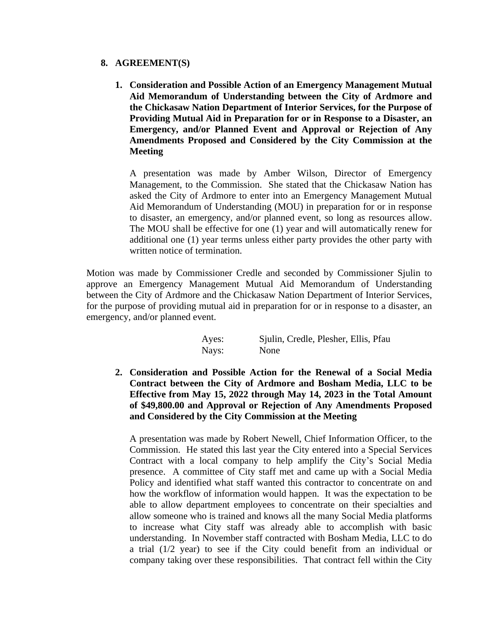## **8. AGREEMENT(S)**

**1. Consideration and Possible Action of an Emergency Management Mutual Aid Memorandum of Understanding between the City of Ardmore and the Chickasaw Nation Department of Interior Services, for the Purpose of Providing Mutual Aid in Preparation for or in Response to a Disaster, an Emergency, and/or Planned Event and Approval or Rejection of Any Amendments Proposed and Considered by the City Commission at the Meeting**

A presentation was made by Amber Wilson, Director of Emergency Management, to the Commission. She stated that the Chickasaw Nation has asked the City of Ardmore to enter into an Emergency Management Mutual Aid Memorandum of Understanding (MOU) in preparation for or in response to disaster, an emergency, and/or planned event, so long as resources allow. The MOU shall be effective for one (1) year and will automatically renew for additional one (1) year terms unless either party provides the other party with written notice of termination.

Motion was made by Commissioner Credle and seconded by Commissioner Sjulin to approve an Emergency Management Mutual Aid Memorandum of Understanding between the City of Ardmore and the Chickasaw Nation Department of Interior Services, for the purpose of providing mutual aid in preparation for or in response to a disaster, an emergency, and/or planned event.

| Ayes: | Sjulin, Credle, Plesher, Ellis, Pfau |
|-------|--------------------------------------|
| Nays: | None                                 |

**2. Consideration and Possible Action for the Renewal of a Social Media Contract between the City of Ardmore and Bosham Media, LLC to be Effective from May 15, 2022 through May 14, 2023 in the Total Amount of \$49,800.00 and Approval or Rejection of Any Amendments Proposed and Considered by the City Commission at the Meeting**

A presentation was made by Robert Newell, Chief Information Officer, to the Commission. He stated this last year the City entered into a Special Services Contract with a local company to help amplify the City's Social Media presence. A committee of City staff met and came up with a Social Media Policy and identified what staff wanted this contractor to concentrate on and how the workflow of information would happen. It was the expectation to be able to allow department employees to concentrate on their specialties and allow someone who is trained and knows all the many Social Media platforms to increase what City staff was already able to accomplish with basic understanding. In November staff contracted with Bosham Media, LLC to do a trial (1/2 year) to see if the City could benefit from an individual or company taking over these responsibilities. That contract fell within the City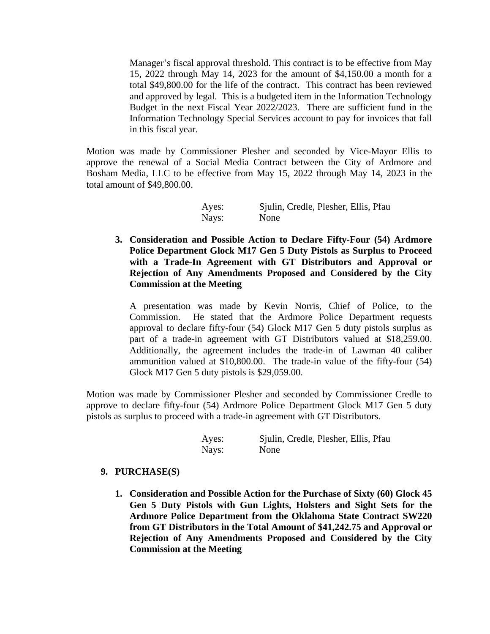Manager's fiscal approval threshold. This contract is to be effective from May 15, 2022 through May 14, 2023 for the amount of \$4,150.00 a month for a total \$49,800.00 for the life of the contract. This contract has been reviewed and approved by legal. This is a budgeted item in the Information Technology Budget in the next Fiscal Year 2022/2023. There are sufficient fund in the Information Technology Special Services account to pay for invoices that fall in this fiscal year.

Motion was made by Commissioner Plesher and seconded by Vice-Mayor Ellis to approve the renewal of a Social Media Contract between the City of Ardmore and Bosham Media, LLC to be effective from May 15, 2022 through May 14, 2023 in the total amount of \$49,800.00.

| Ayes: | Sjulin, Credle, Plesher, Ellis, Pfau |
|-------|--------------------------------------|
| Nays: | None                                 |

**3. Consideration and Possible Action to Declare Fifty-Four (54) Ardmore Police Department Glock M17 Gen 5 Duty Pistols as Surplus to Proceed with a Trade-In Agreement with GT Distributors and Approval or Rejection of Any Amendments Proposed and Considered by the City Commission at the Meeting**

A presentation was made by Kevin Norris, Chief of Police, to the Commission. He stated that the Ardmore Police Department requests approval to declare fifty-four (54) Glock M17 Gen 5 duty pistols surplus as part of a trade-in agreement with GT Distributors valued at \$18,259.00. Additionally, the agreement includes the trade-in of Lawman 40 caliber ammunition valued at \$10,800.00. The trade-in value of the fifty-four (54) Glock M17 Gen 5 duty pistols is \$29,059.00.

Motion was made by Commissioner Plesher and seconded by Commissioner Credle to approve to declare fifty-four (54) Ardmore Police Department Glock M17 Gen 5 duty pistols as surplus to proceed with a trade-in agreement with GT Distributors.

| Ayes: | Sjulin, Credle, Plesher, Ellis, Pfau |
|-------|--------------------------------------|
| Nays: | None                                 |

## **9. PURCHASE(S)**

**1. Consideration and Possible Action for the Purchase of Sixty (60) Glock 45 Gen 5 Duty Pistols with Gun Lights, Holsters and Sight Sets for the Ardmore Police Department from the Oklahoma State Contract SW220 from GT Distributors in the Total Amount of \$41,242.75 and Approval or Rejection of Any Amendments Proposed and Considered by the City Commission at the Meeting**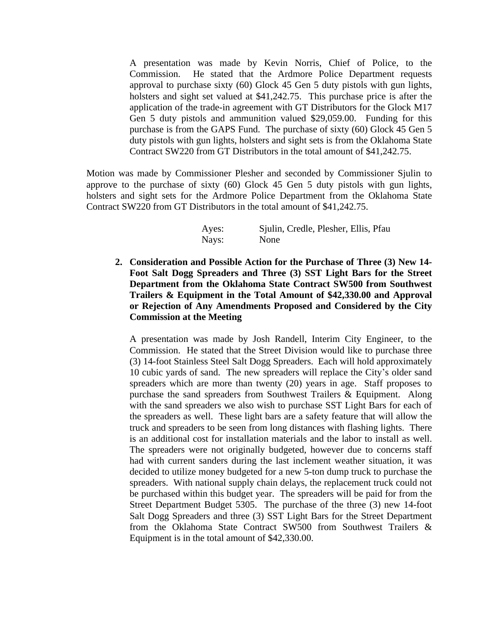A presentation was made by Kevin Norris, Chief of Police, to the Commission. He stated that the Ardmore Police Department requests approval to purchase sixty (60) Glock 45 Gen 5 duty pistols with gun lights, holsters and sight set valued at \$41,242.75. This purchase price is after the application of the trade-in agreement with GT Distributors for the Glock M17 Gen 5 duty pistols and ammunition valued \$29,059.00. Funding for this purchase is from the GAPS Fund. The purchase of sixty (60) Glock 45 Gen 5 duty pistols with gun lights, holsters and sight sets is from the Oklahoma State Contract SW220 from GT Distributors in the total amount of \$41,242.75.

Motion was made by Commissioner Plesher and seconded by Commissioner Sjulin to approve to the purchase of sixty (60) Glock 45 Gen 5 duty pistols with gun lights, holsters and sight sets for the Ardmore Police Department from the Oklahoma State Contract SW220 from GT Distributors in the total amount of \$41,242.75.

| Ayes: | Sjulin, Credle, Plesher, Ellis, Pfau |
|-------|--------------------------------------|
| Nays: | None                                 |

**2. Consideration and Possible Action for the Purchase of Three (3) New 14- Foot Salt Dogg Spreaders and Three (3) SST Light Bars for the Street Department from the Oklahoma State Contract SW500 from Southwest Trailers & Equipment in the Total Amount of \$42,330.00 and Approval or Rejection of Any Amendments Proposed and Considered by the City Commission at the Meeting**

A presentation was made by Josh Randell, Interim City Engineer, to the Commission. He stated that the Street Division would like to purchase three (3) 14-foot Stainless Steel Salt Dogg Spreaders. Each will hold approximately 10 cubic yards of sand. The new spreaders will replace the City's older sand spreaders which are more than twenty (20) years in age. Staff proposes to purchase the sand spreaders from Southwest Trailers & Equipment. Along with the sand spreaders we also wish to purchase SST Light Bars for each of the spreaders as well. These light bars are a safety feature that will allow the truck and spreaders to be seen from long distances with flashing lights. There is an additional cost for installation materials and the labor to install as well. The spreaders were not originally budgeted, however due to concerns staff had with current sanders during the last inclement weather situation, it was decided to utilize money budgeted for a new 5-ton dump truck to purchase the spreaders. With national supply chain delays, the replacement truck could not be purchased within this budget year. The spreaders will be paid for from the Street Department Budget 5305. The purchase of the three (3) new 14-foot Salt Dogg Spreaders and three (3) SST Light Bars for the Street Department from the Oklahoma State Contract SW500 from Southwest Trailers & Equipment is in the total amount of \$42,330.00.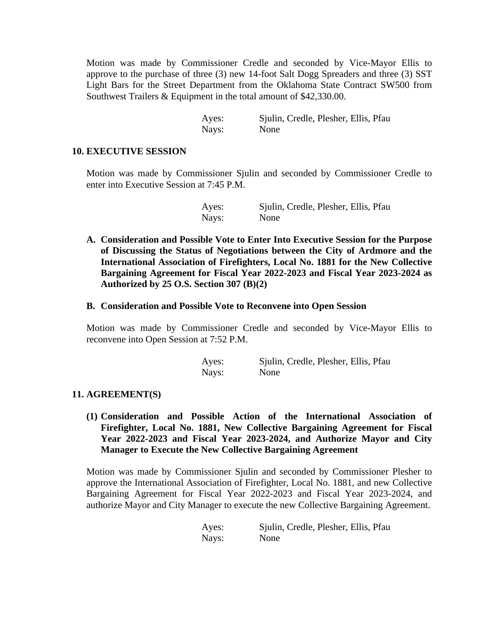Motion was made by Commissioner Credle and seconded by Vice-Mayor Ellis to approve to the purchase of three (3) new 14-foot Salt Dogg Spreaders and three (3) SST Light Bars for the Street Department from the Oklahoma State Contract SW500 from Southwest Trailers & Equipment in the total amount of \$42,330.00.

| Ayes: | Sjulin, Credle, Plesher, Ellis, Pfau |  |  |
|-------|--------------------------------------|--|--|
| Nays: | None                                 |  |  |

#### **10. EXECUTIVE SESSION**

Motion was made by Commissioner Sjulin and seconded by Commissioner Credle to enter into Executive Session at 7:45 P.M.

| Ayes: | Sjulin, Credle, Plesher, Ellis, Pfau |
|-------|--------------------------------------|
| Nays: | None                                 |

**A. Consideration and Possible Vote to Enter Into Executive Session for the Purpose of Discussing the Status of Negotiations between the City of Ardmore and the International Association of Firefighters, Local No. 1881 for the New Collective Bargaining Agreement for Fiscal Year 2022-2023 and Fiscal Year 2023-2024 as Authorized by 25 O.S. Section 307 (B)(2)**

#### **B. Consideration and Possible Vote to Reconvene into Open Session**

Motion was made by Commissioner Credle and seconded by Vice-Mayor Ellis to reconvene into Open Session at 7:52 P.M.

| Ayes: | Sjulin, Credle, Plesher, Ellis, Pfau |
|-------|--------------------------------------|
| Nays: | None                                 |

## **11. AGREEMENT(S)**

**(1) Consideration and Possible Action of the International Association of Firefighter, Local No. 1881, New Collective Bargaining Agreement for Fiscal Year 2022-2023 and Fiscal Year 2023-2024, and Authorize Mayor and City Manager to Execute the New Collective Bargaining Agreement**

Motion was made by Commissioner Sjulin and seconded by Commissioner Plesher to approve the International Association of Firefighter, Local No. 1881, and new Collective Bargaining Agreement for Fiscal Year 2022-2023 and Fiscal Year 2023-2024, and authorize Mayor and City Manager to execute the new Collective Bargaining Agreement.

| Ayes: | Sjulin, Credle, Plesher, Ellis, Pfau |
|-------|--------------------------------------|
| Nays: | None                                 |